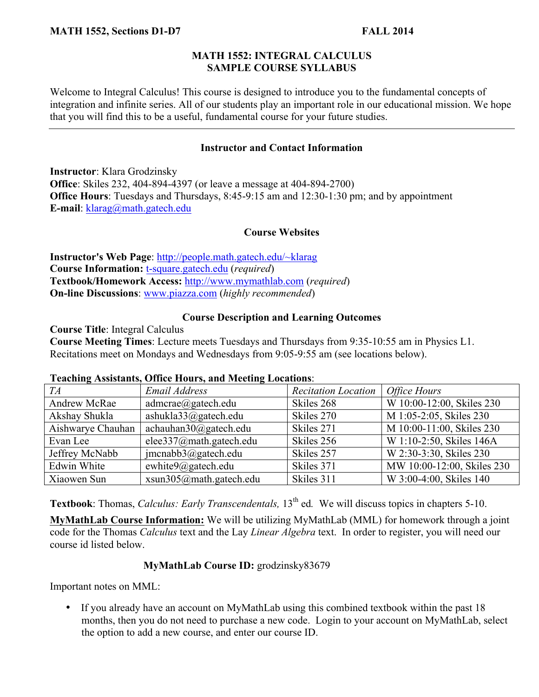### **MATH 1552: INTEGRAL CALCULUS SAMPLE COURSE SYLLABUS**

Welcome to Integral Calculus! This course is designed to introduce you to the fundamental concepts of integration and infinite series. All of our students play an important role in our educational mission. We hope that you will find this to be a useful, fundamental course for your future studies.

## **Instructor and Contact Information**

**Instructor**: Klara Grodzinsky **Office**: Skiles 232, 404-894-4397 (or leave a message at 404-894-2700) **Office Hours**: Tuesdays and Thursdays, 8:45-9:15 am and 12:30-1:30 pm; and by appointment **E-mail**: klarag@math.gatech.edu

### **Course Websites**

**Instructor's Web Page**: http://people.math.gatech.edu/~klarag **Course Information:** t-square.gatech.edu (*required*) **Textbook/Homework Access:** http://www.mymathlab.com (*required*) **On-line Discussions**: www.piazza.com (*highly recommended*)

## **Course Description and Learning Outcomes**

**Course Title**: Integral Calculus **Course Meeting Times**: Lecture meets Tuesdays and Thursdays from 9:35-10:55 am in Physics L1. Recitations meet on Mondays and Wednesdays from 9:05-9:55 am (see locations below).

| <b>Teaching Assistants, Office Hours, and Meeting Locations:</b> |  |  |
|------------------------------------------------------------------|--|--|
|                                                                  |  |  |

| $\overline{\phantom{a}}$<br>TA | Email Address              | <b>Recitation Location</b> | <b>Office Hours</b>        |
|--------------------------------|----------------------------|----------------------------|----------------------------|
| Andrew McRae                   | admcrae(a) gatech.edu      | Skiles 268                 | W 10:00-12:00, Skiles 230  |
| Akshay Shukla                  | ashukla33@gatech.edu       | Skiles 270                 | M 1:05-2:05, Skiles 230    |
| Aishwarye Chauhan              | achauhan30@gatech.edu      | Skiles 271                 | M 10:00-11:00, Skiles 230  |
| Evan Lee                       | elee337@math.gatech.edu    | Skiles 256                 | W 1:10-2:50, Skiles 146A   |
| Jeffrey McNabb                 | $j$ mcnabb $3$ @gatech.edu | Skiles 257                 | W 2:30-3:30, Skiles 230    |
| Edwin White                    | ewhite9@gatech.edu         | Skiles 371                 | MW 10:00-12:00, Skiles 230 |
| Xiaowen Sun                    | xsun305@math.gatech.edu    | Skiles 311                 | W 3:00-4:00, Skiles 140    |

**Textbook**: Thomas, *Calculus: Early Transcendentals*, 13<sup>th</sup> ed. We will discuss topics in chapters 5-10.

**MyMathLab Course Information:** We will be utilizing MyMathLab (MML) for homework through a joint code for the Thomas *Calculus* text and the Lay *Linear Algebra* text. In order to register, you will need our course id listed below.

## **MyMathLab Course ID:** grodzinsky83679

Important notes on MML:

• If you already have an account on MyMathLab using this combined textbook within the past 18 months, then you do not need to purchase a new code. Login to your account on MyMathLab, select the option to add a new course, and enter our course ID.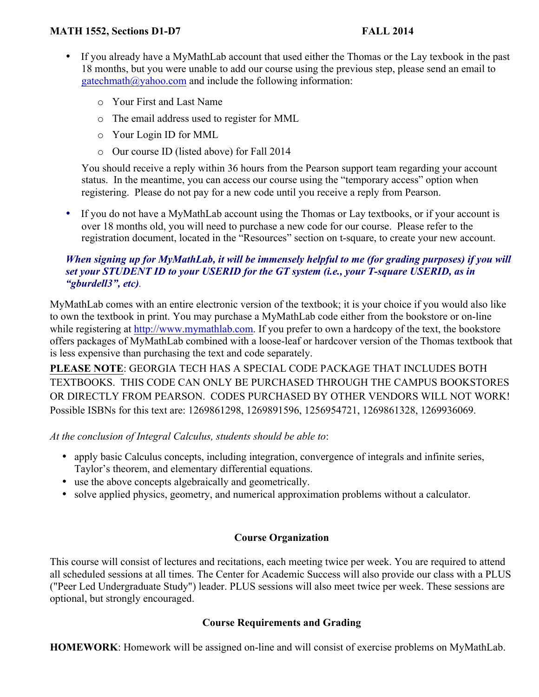### **MATH 1552, Sections D1-D7 FALL 2014**

- If you already have a MyMathLab account that used either the Thomas or the Lay texbook in the past 18 months, but you were unable to add our course using the previous step, please send an email to  $gatechmath@yahoo.com$  and include the following information:
	- o Your First and Last Name
	- o The email address used to register for MML
	- o Your Login ID for MML
	- o Our course ID (listed above) for Fall 2014

You should receive a reply within 36 hours from the Pearson support team regarding your account status. In the meantime, you can access our course using the "temporary access" option when registering. Please do not pay for a new code until you receive a reply from Pearson.

• If you do not have a MyMathLab account using the Thomas or Lay textbooks, or if your account is over 18 months old, you will need to purchase a new code for our course. Please refer to the registration document, located in the "Resources" section on t-square, to create your new account.

## *When signing up for MyMathLab, it will be immensely helpful to me (for grading purposes) if you will set your STUDENT ID to your USERID for the GT system (i.e., your T-square USERID, as in "gburdell3", etc).*

MyMathLab comes with an entire electronic version of the textbook; it is your choice if you would also like to own the textbook in print. You may purchase a MyMathLab code either from the bookstore or on-line while registering at http://www.mymathlab.com. If you prefer to own a hardcopy of the text, the bookstore offers packages of MyMathLab combined with a loose-leaf or hardcover version of the Thomas textbook that is less expensive than purchasing the text and code separately.

**PLEASE NOTE**: GEORGIA TECH HAS A SPECIAL CODE PACKAGE THAT INCLUDES BOTH TEXTBOOKS. THIS CODE CAN ONLY BE PURCHASED THROUGH THE CAMPUS BOOKSTORES OR DIRECTLY FROM PEARSON. CODES PURCHASED BY OTHER VENDORS WILL NOT WORK! Possible ISBNs for this text are: 1269861298, 1269891596, 1256954721, 1269861328, 1269936069.

*At the conclusion of Integral Calculus, students should be able to*:

- apply basic Calculus concepts, including integration, convergence of integrals and infinite series, Taylor's theorem, and elementary differential equations.
- use the above concepts algebraically and geometrically.
- solve applied physics, geometry, and numerical approximation problems without a calculator.

## **Course Organization**

This course will consist of lectures and recitations, each meeting twice per week. You are required to attend all scheduled sessions at all times. The Center for Academic Success will also provide our class with a PLUS ("Peer Led Undergraduate Study") leader. PLUS sessions will also meet twice per week. These sessions are optional, but strongly encouraged.

#### **Course Requirements and Grading**

**HOMEWORK**: Homework will be assigned on-line and will consist of exercise problems on MyMathLab.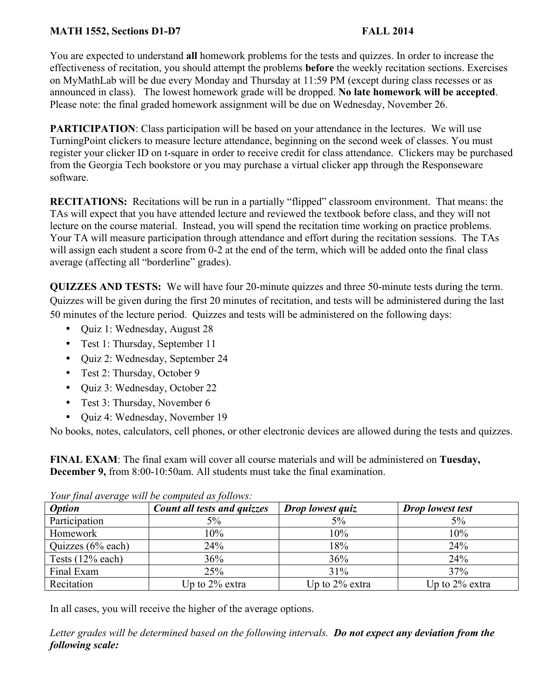## **MATH 1552, Sections D1-D7 FALL 2014**

You are expected to understand **all** homework problems for the tests and quizzes. In order to increase the effectiveness of recitation, you should attempt the problems **before** the weekly recitation sections. Exercises on MyMathLab will be due every Monday and Thursday at 11:59 PM (except during class recesses or as announced in class). The lowest homework grade will be dropped. **No late homework will be accepted**. Please note: the final graded homework assignment will be due on Wednesday, November 26.

**PARTICIPATION:** Class participation will be based on your attendance in the lectures. We will use TurningPoint clickers to measure lecture attendance, beginning on the second week of classes. You must register your clicker ID on t-square in order to receive credit for class attendance. Clickers may be purchased from the Georgia Tech bookstore or you may purchase a virtual clicker app through the Responseware software.

**RECITATIONS:** Recitations will be run in a partially "flipped" classroom environment. That means: the TAs will expect that you have attended lecture and reviewed the textbook before class, and they will not lecture on the course material. Instead, you will spend the recitation time working on practice problems. Your TA will measure participation through attendance and effort during the recitation sessions. The TAs will assign each student a score from 0-2 at the end of the term, which will be added onto the final class average (affecting all "borderline" grades).

**QUIZZES AND TESTS:** We will have four 20-minute quizzes and three 50-minute tests during the term. Quizzes will be given during the first 20 minutes of recitation, and tests will be administered during the last 50 minutes of the lecture period. Quizzes and tests will be administered on the following days:

- Quiz 1: Wednesday, August 28
- Test 1: Thursday, September 11
- Quiz 2: Wednesday, September 24
- Test 2: Thursday, October 9
- Quiz 3: Wednesday, October 22
- Test 3: Thursday, November 6
- Quiz 4: Wednesday, November 19

No books, notes, calculators, cell phones, or other electronic devices are allowed during the tests and quizzes.

**FINAL EXAM**: The final exam will cover all course materials and will be administered on **Tuesday, December 9,** from 8:00-10:50am. All students must take the final examination.

| <b>Option</b>      | <b>Count all tests and quizzes</b> | Drop lowest quiz  | <b>Drop</b> lowest test |
|--------------------|------------------------------------|-------------------|-------------------------|
| Participation      | 5%                                 | 5%                | 5%                      |
| Homework           | 10%                                | 10%               | 10%                     |
| Quizzes (6% each)  | 24%                                | 18%               | 24%                     |
| Tests $(12%$ each) | 36%                                | 36%               | 24%                     |
| Final Exam         | 25%                                | 31%               | 37%                     |
| Recitation         | Up to $2\%$ extra                  | Up to $2\%$ extra | Up to $2\%$ extra       |

| Your final average will be computed as follows: |  |  |
|-------------------------------------------------|--|--|
|                                                 |  |  |

In all cases, you will receive the higher of the average options.

*Letter grades will be determined based on the following intervals. Do not expect any deviation from the following scale:*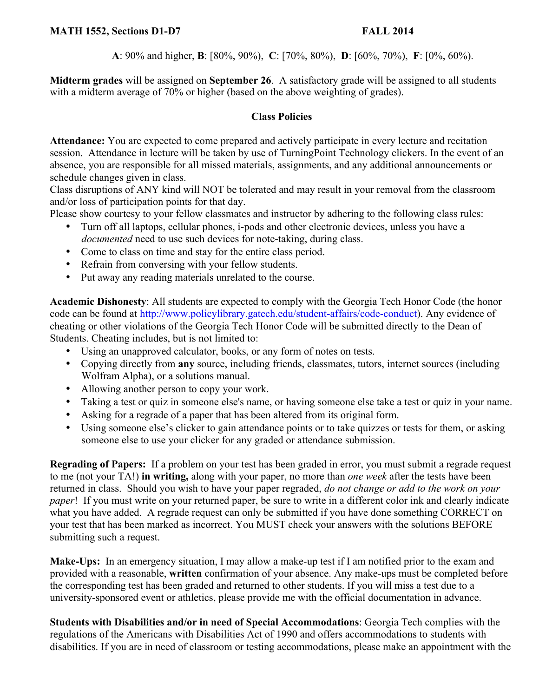**A**: 90% and higher, **B**: [80%, 90%), **C**: [70%, 80%), **D**: [60%, 70%), **F**: [0%, 60%).

**Midterm grades** will be assigned on **September 26**. A satisfactory grade will be assigned to all students with a midterm average of 70% or higher (based on the above weighting of grades).

# **Class Policies**

**Attendance:** You are expected to come prepared and actively participate in every lecture and recitation session. Attendance in lecture will be taken by use of TurningPoint Technology clickers. In the event of an absence, you are responsible for all missed materials, assignments, and any additional announcements or schedule changes given in class.

Class disruptions of ANY kind will NOT be tolerated and may result in your removal from the classroom and/or loss of participation points for that day.

Please show courtesy to your fellow classmates and instructor by adhering to the following class rules:

- Turn off all laptops, cellular phones, i-pods and other electronic devices, unless you have a *documented* need to use such devices for note-taking, during class.
- Come to class on time and stay for the entire class period.
- Refrain from conversing with your fellow students.
- Put away any reading materials unrelated to the course.

**Academic Dishonesty**: All students are expected to comply with the Georgia Tech Honor Code (the honor code can be found at http://www.policylibrary.gatech.edu/student-affairs/code-conduct). Any evidence of cheating or other violations of the Georgia Tech Honor Code will be submitted directly to the Dean of Students. Cheating includes, but is not limited to:

- Using an unapproved calculator, books, or any form of notes on tests.
- Copying directly from **any** source, including friends, classmates, tutors, internet sources (including Wolfram Alpha), or a solutions manual.
- Allowing another person to copy your work.
- Taking a test or quiz in someone else's name, or having someone else take a test or quiz in your name.
- Asking for a regrade of a paper that has been altered from its original form.
- Using someone else's clicker to gain attendance points or to take quizzes or tests for them, or asking someone else to use your clicker for any graded or attendance submission.

**Regrading of Papers:** If a problem on your test has been graded in error, you must submit a regrade request to me (not your TA!) **in writing,** along with your paper, no more than *one week* after the tests have been returned in class. Should you wish to have your paper regraded, *do not change or add to the work on your paper*! If you must write on your returned paper, be sure to write in a different color ink and clearly indicate what you have added. A regrade request can only be submitted if you have done something CORRECT on your test that has been marked as incorrect. You MUST check your answers with the solutions BEFORE submitting such a request.

**Make-Ups:** In an emergency situation, I may allow a make-up test if I am notified prior to the exam and provided with a reasonable, **written** confirmation of your absence. Any make-ups must be completed before the corresponding test has been graded and returned to other students. If you will miss a test due to a university-sponsored event or athletics, please provide me with the official documentation in advance.

**Students with Disabilities and/or in need of Special Accommodations**: Georgia Tech complies with the regulations of the Americans with Disabilities Act of 1990 and offers accommodations to students with disabilities. If you are in need of classroom or testing accommodations, please make an appointment with the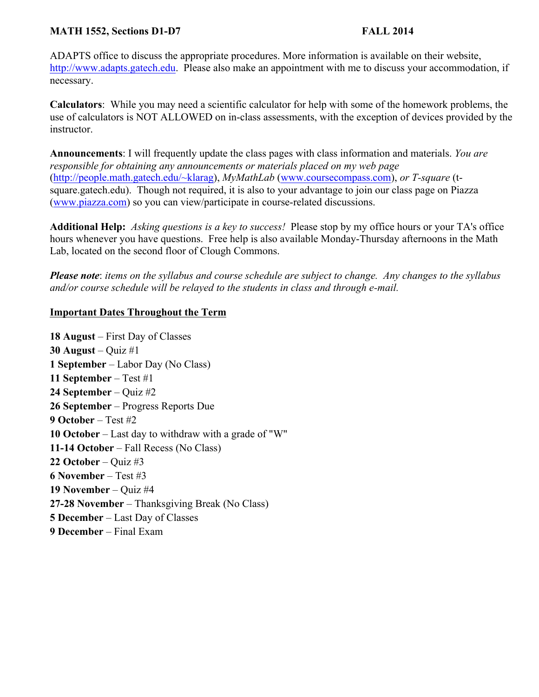### **MATH 1552, Sections D1-D7 FALL 2014**

ADAPTS office to discuss the appropriate procedures. More information is available on their website, http://www.adapts.gatech.edu. Please also make an appointment with me to discuss your accommodation, if necessary.

**Calculators**: While you may need a scientific calculator for help with some of the homework problems, the use of calculators is NOT ALLOWED on in-class assessments, with the exception of devices provided by the instructor.

**Announcements**: I will frequently update the class pages with class information and materials. *You are responsible for obtaining any announcements or materials placed on my web page*  (http://people.math.gatech.edu/~klarag), *MyMathLab* (www.coursecompass.com), *or T-square* (tsquare.gatech.edu). Though not required, it is also to your advantage to join our class page on Piazza (www.piazza.com) so you can view/participate in course-related discussions.

**Additional Help:** *Asking questions is a key to success!* Please stop by my office hours or your TA's office hours whenever you have questions. Free help is also available Monday-Thursday afternoons in the Math Lab, located on the second floor of Clough Commons.

*Please note*: *items on the syllabus and course schedule are subject to change. Any changes to the syllabus and/or course schedule will be relayed to the students in class and through e-mail.*

## **Important Dates Throughout the Term**

**18 August** – First Day of Classes **30 August** – Quiz #1 **1 September** – Labor Day (No Class) **11 September** – Test #1 **24 September** – Quiz #2 **26 September** – Progress Reports Due **9 October** – Test #2 **10 October** – Last day to withdraw with a grade of "W" **11-14 October** – Fall Recess (No Class) **22 October** – Quiz #3 **6 November** – Test #3 **19 November** – Quiz #4 **27-28 November** – Thanksgiving Break (No Class) **5 December** – Last Day of Classes **9 December** – Final Exam